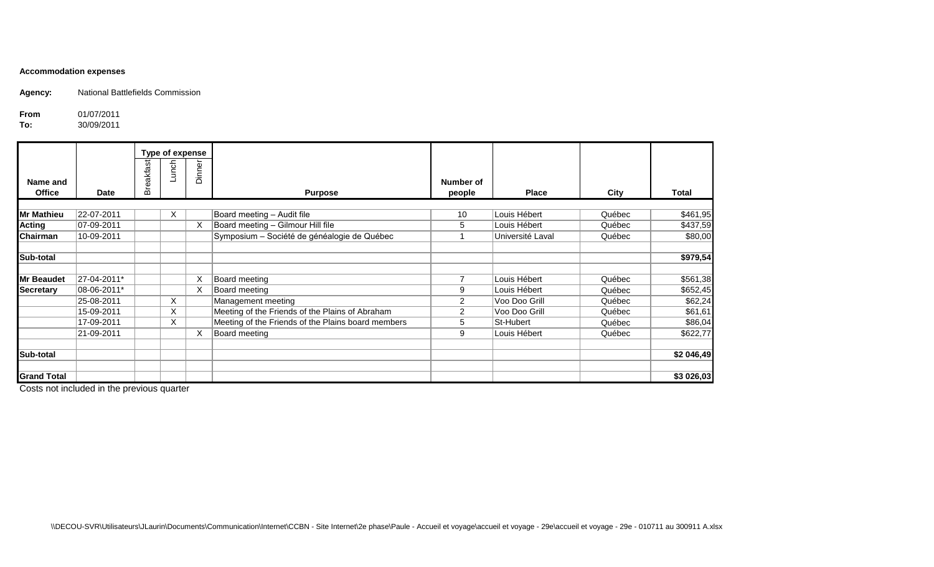## **Accommodation expenses**

**Agency:** National Battlefields Commission

**From** 01/07/2011<br>**To:** 30/09/2011

**To:** 30/09/2011

|                    |             | Type of expense |       |        |                                                    |                |                  |        |            |
|--------------------|-------------|-----------------|-------|--------|----------------------------------------------------|----------------|------------------|--------|------------|
| Name and           |             | Breakfast       | Lunch | Dinner |                                                    | Number of      |                  |        |            |
| <b>Office</b>      | <b>Date</b> |                 |       |        | <b>Purpose</b>                                     | people         | <b>Place</b>     | City   | Total      |
|                    |             |                 |       |        |                                                    |                |                  |        |            |
| <b>Mr Mathieu</b>  | 22-07-2011  |                 | X     |        | Board meeting - Audit file                         | 10             | Louis Hébert     | Québec | \$461,95   |
| <b>Acting</b>      | 07-09-2011  |                 |       | X      | Board meeting - Gilmour Hill file                  | 5              | Louis Hébert     | Québec | \$437,59   |
| <b>Chairman</b>    | 10-09-2011  |                 |       |        | Symposium - Société de généalogie de Québec        |                | Université Laval | Québec | \$80,00    |
| Sub-total          |             |                 |       |        |                                                    |                |                  |        | \$979,54   |
| <b>Mr Beaudet</b>  | 27-04-2011* |                 |       | Χ      | Board meeting                                      |                | Louis Hébert     | Québec | \$561,38   |
| <b>Secretary</b>   | 08-06-2011* |                 |       | X      | Board meeting                                      | 9              | Louis Hébert     | Québec | \$652,45   |
|                    | 25-08-2011  |                 | X     |        | Management meeting                                 | $\overline{2}$ | Voo Doo Grill    | Québec | \$62,24    |
|                    | 15-09-2011  |                 | X.    |        | Meeting of the Friends of the Plains of Abraham    | $\overline{2}$ | Voo Doo Grill    | Québec | \$61,61    |
|                    | 17-09-2011  |                 | X     |        | Meeting of the Friends of the Plains board members | 5              | St-Hubert        | Québec | \$86,04    |
|                    | 21-09-2011  |                 |       | X      | Board meeting                                      | 9              | Louis Hébert     | Québec | \$622,77   |
| Sub-total          |             |                 |       |        |                                                    |                |                  |        | \$2 046,49 |
| <b>Grand Total</b> |             |                 |       |        |                                                    |                |                  |        | \$3 026,03 |

Costs not included in the previous quarter